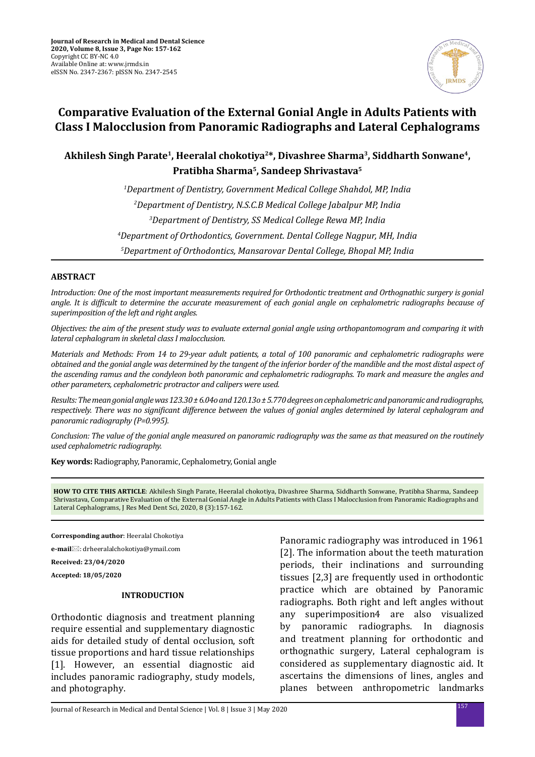

# **Comparative Evaluation of the External Gonial Angle in Adults Patients with Class I Malocclusion from Panoramic Radiographs and Lateral Cephalograms**

**Akhilesh Singh Parate1, Heeralal chokotiya2\*, Divashree Sharma3, Siddharth Sonwane4, Pratibha Sharma5, Sandeep Shrivastava5**

> *Department of Dentistry, Government Medical College Shahdol, MP, India Department of Dentistry, N.S.C.B Medical College Jabalpur MP, India Department of Dentistry, SS Medical College Rewa MP, India Department of Orthodontics, Government. Dental College Nagpur, MH, India Department of Orthodontics, Mansarovar Dental College, Bhopal MP, India*

#### **ABSTRACT**

*Introduction: One of the most important measurements required for Orthodontic treatment and Orthognathic surgery is gonial angle. It is difficult to determine the accurate measurement of each gonial angle on cephalometric radiographs because of superimposition of the left and right angles.* 

*Objectives: the aim of the present study was to evaluate external gonial angle using orthopantomogram and comparing it with lateral cephalogram in skeletal class I malocclusion.*

*Materials and Methods: From 14 to 29-year adult patients, a total of 100 panoramic and cephalometric radiographs were obtained and the gonial angle was determined by the tangent of the inferior border of the mandible and the most distal aspect of the ascending ramus and the condyleon both panoramic and cephalometric radiographs. To mark and measure the angles and other parameters, cephalometric protractor and calipers were used.*

*Results: The mean gonial angle was 123.30 ± 6.04o and 120.13o ± 5.770 degrees on cephalometric and panoramic and radiographs, respectively. There was no significant difference between the values of gonial angles determined by lateral cephalogram and panoramic radiography (P=0.995).*

*Conclusion: The value of the gonial angle measured on panoramic radiography was the same as that measured on the routinely used cephalometric radiography.*

**Key words:** Radiography, Panoramic, Cephalometry, Gonial angle

**HOW TO CITE THIS ARTICLE**: Akhilesh Singh Parate, Heeralal chokotiya, Divashree Sharma, Siddharth Sonwane, Pratibha Sharma, Sandeep Shrivastava, Comparative Evaluation of the External Gonial Angle in Adults Patients with Class I Malocclusion from Panoramic Radiographs and Lateral Cephalograms, J Res Med Dent Sci, 2020, 8 (3):157-162.

**Corresponding author**: Heeralal Chokotiya

**e-mail**: drheeralalchokotiya@ymail.com

**Received: 23/04/2020**

**Accepted: 18/05/2020**

#### **INTRODUCTION**

Orthodontic diagnosis and treatment planning require essential and supplementary diagnostic aids for detailed study of dental occlusion, soft tissue proportions and hard tissue relationships [1]. However, an essential diagnostic aid includes panoramic radiography, study models, and photography.

Panoramic radiography was introduced in 1961 [2]. The information about the teeth maturation periods, their inclinations and surrounding tissues [2,3] are frequently used in orthodontic practice which are obtained by Panoramic radiographs. Both right and left angles without any superimposition4 are also visualized by panoramic radiographs. In diagnosis and treatment planning for orthodontic and orthognathic surgery, Lateral cephalogram is considered as supplementary diagnostic aid. It ascertains the dimensions of lines, angles and planes between anthropometric landmarks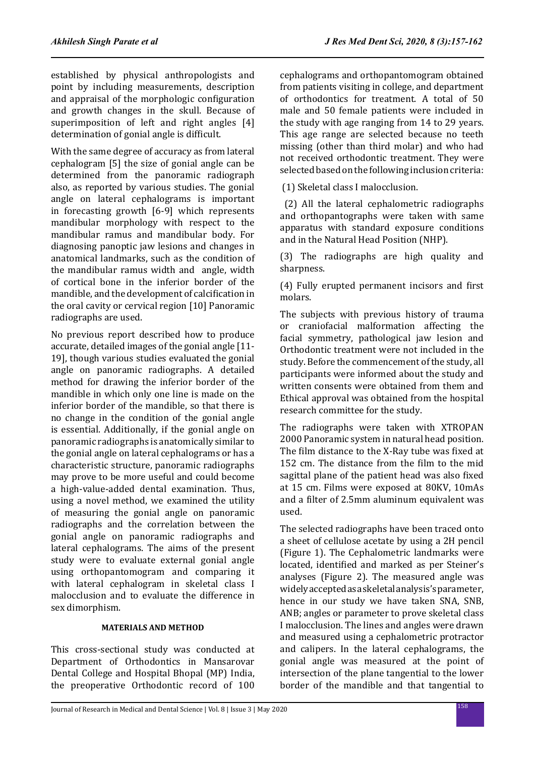established by physical anthropologists and point by including measurements, description and appraisal of the morphologic configuration and growth changes in the skull. Because of superimposition of left and right angles [4] determination of gonial angle is difficult.

With the same degree of accuracy as from lateral cephalogram [5] the size of gonial angle can be determined from the panoramic radiograph also, as reported by various studies. The gonial angle on lateral cephalograms is important in forecasting growth [6-9] which represents mandibular morphology with respect to the mandibular ramus and mandibular body. For diagnosing panoptic jaw lesions and changes in anatomical landmarks, such as the condition of the mandibular ramus width and angle, width of cortical bone in the inferior border of the mandible, and the development of calcification in the oral cavity or cervical region [10] Panoramic radiographs are used.

No previous report described how to produce accurate, detailed images of the gonial angle [11- 19], though various studies evaluated the gonial angle on panoramic radiographs. A detailed method for drawing the inferior border of the mandible in which only one line is made on the inferior border of the mandible, so that there is no change in the condition of the gonial angle is essential. Additionally, if the gonial angle on panoramic radiographs is anatomically similar to the gonial angle on lateral cephalograms or has a characteristic structure, panoramic radiographs may prove to be more useful and could become a high-value-added dental examination. Thus, using a novel method, we examined the utility of measuring the gonial angle on panoramic radiographs and the correlation between the gonial angle on panoramic radiographs and lateral cephalograms. The aims of the present study were to evaluate external gonial angle using orthopantomogram and comparing it with lateral cephalogram in skeletal class I malocclusion and to evaluate the difference in sex dimorphism.

### **MATERIALS AND METHOD**

This cross-sectional study was conducted at Department of Orthodontics in Mansarovar Dental College and Hospital Bhopal (MP) India, the preoperative Orthodontic record of 100 cephalograms and orthopantomogram obtained from patients visiting in college, and department of orthodontics for treatment. A total of 50 male and 50 female patients were included in the study with age ranging from 14 to 29 years. This age range are selected because no teeth missing (other than third molar) and who had not received orthodontic treatment. They were selected based on the following inclusion criteria:

(1) Skeletal class I malocclusion.

 (2) All the lateral cephalometric radiographs and orthopantographs were taken with same apparatus with standard exposure conditions and in the Natural Head Position (NHP).

(3) The radiographs are high quality and sharpness.

(4) Fully erupted permanent incisors and first molars.

The subjects with previous history of trauma or craniofacial malformation affecting the facial symmetry, pathological jaw lesion and Orthodontic treatment were not included in the study. Before the commencement of the study, all participants were informed about the study and written consents were obtained from them and Ethical approval was obtained from the hospital research committee for the study.

The radiographs were taken with XTROPAN 2000 Panoramic system in natural head position. The film distance to the X-Ray tube was fixed at 152 cm. The distance from the film to the mid sagittal plane of the patient head was also fixed at 15 cm. Films were exposed at 80KV, 10mAs and a filter of 2.5mm aluminum equivalent was used.

The selected radiographs have been traced onto a sheet of cellulose acetate by using a 2H pencil (Figure 1). The Cephalometric landmarks were located, identified and marked as per Steiner's analyses (Figure 2). The measured angle was widely accepted as a skeletal analysis's parameter, hence in our study we have taken SNA, SNB, ANB; angles or parameter to prove skeletal class I malocclusion. The lines and angles were drawn and measured using a cephalometric protractor and calipers. In the lateral cephalograms, the gonial angle was measured at the point of intersection of the plane tangential to the lower border of the mandible and that tangential to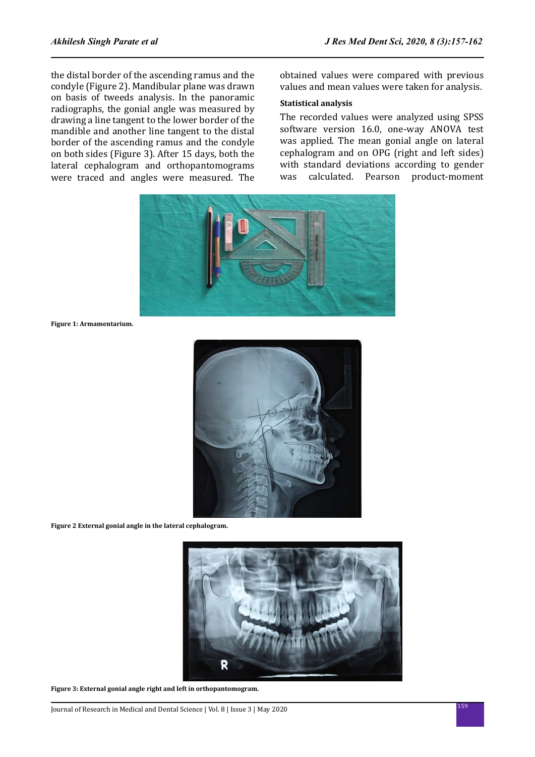the distal border of the ascending ramus and the condyle (Figure 2). Mandibular plane was drawn on basis of tweeds analysis. In the panoramic radiographs, the gonial angle was measured by drawing a line tangent to the lower border of the mandible and another line tangent to the distal border of the ascending ramus and the condyle on both sides (Figure 3). After 15 days, both the lateral cephalogram and orthopantomograms were traced and angles were measured. The

obtained values were compared with previous values and mean values were taken for analysis.

#### **Statistical analysis**

The recorded values were analyzed using SPSS software version 16.0, one-way ANOVA test was applied. The mean gonial angle on lateral cephalogram and on OPG (right and left sides) with standard deviations according to gender<br>was calculated. Pearson product-moment calculated. Pearson product-moment



**Figure 1: Armamentarium.**



**Figure 2 External gonial angle in the lateral cephalogram.**



**Figure 3: External gonial angle right and left in orthopantomogram.**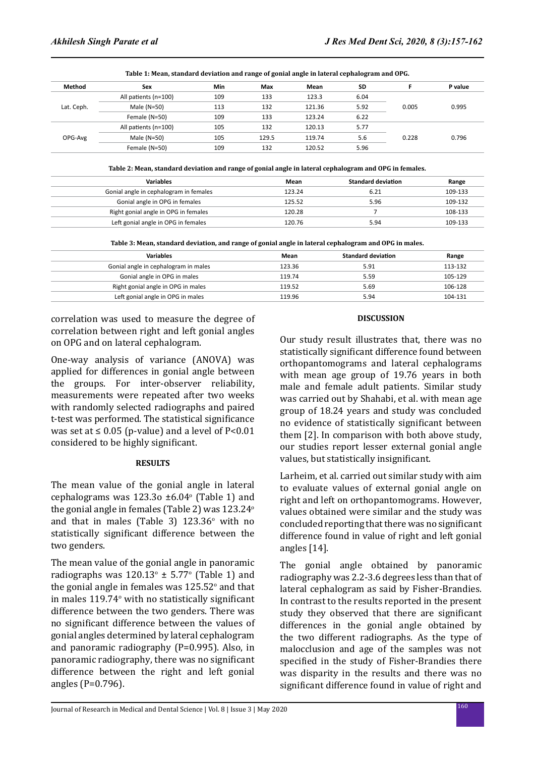| Sex                  | Min | Max   | Mean   | SD   |       | P value                                                                                    |  |  |  |
|----------------------|-----|-------|--------|------|-------|--------------------------------------------------------------------------------------------|--|--|--|
| All patients (n=100) | 109 | 133   | 123.3  | 6.04 |       |                                                                                            |  |  |  |
| Male $(N=50)$        | 113 | 132   | 121.36 | 5.92 | 0.005 | 0.995                                                                                      |  |  |  |
| Female (N=50)        | 109 | 133   | 123.24 | 6.22 |       |                                                                                            |  |  |  |
| All patients (n=100) | 105 | 132   | 120.13 | 5.77 |       |                                                                                            |  |  |  |
| Male $(N=50)$        | 105 | 129.5 | 119.74 | 5.6  | 0.228 | 0.796                                                                                      |  |  |  |
| Female (N=50)        | 109 | 132   | 120.52 | 5.96 |       |                                                                                            |  |  |  |
|                      |     |       |        |      |       | Table 1: Mean, standard deviation and range of gomal angle in fateral cephalogram and OPG. |  |  |  |

**Table 1: Mean, standard deviation and range of gonial angle in lateral cephalogram and OPG.**

**Table 2: Mean, standard deviation and range of gonial angle in lateral cephalogram and OPG in females.**

| <b>Variables</b>                       | Mean   | <b>Standard deviation</b> | Range   |
|----------------------------------------|--------|---------------------------|---------|
| Gonial angle in cephalogram in females | 123.24 | 6.21                      | 109-133 |
| Gonial angle in OPG in females         | 125.52 | 5.96                      | 109-132 |
| Right gonial angle in OPG in females   | 120.28 |                           | 108-133 |
| Left gonial angle in OPG in females    | 120.76 | 5.94                      | 109-133 |

**Table 3: Mean, standard deviation, and range of gonial angle in lateral cephalogram and OPG in males.**

| <b>Variables</b>                     | Mean   | <b>Standard deviation</b> | Range   |
|--------------------------------------|--------|---------------------------|---------|
| Gonial angle in cephalogram in males | 123.36 | 5.91                      | 113-132 |
| Gonial angle in OPG in males         | 119.74 | 5.59                      | 105-129 |
| Right gonial angle in OPG in males   | 119.52 | 5.69                      | 106-128 |
| Left gonial angle in OPG in males    | 119.96 | 5.94                      | 104-131 |
|                                      |        |                           |         |

correlation was used to measure the degree of correlation between right and left gonial angles on OPG and on lateral cephalogram.

One-way analysis of variance (ANOVA) was applied for differences in gonial angle between the groups. For inter-observer reliability, measurements were repeated after two weeks with randomly selected radiographs and paired t-test was performed. The statistical significance was set at  $\leq 0.05$  (p-value) and a level of P<0.01 considered to be highly significant.

### **RESULTS**

The mean value of the gonial angle in lateral cephalograms was  $123.3$ o ±6.04 $^{\circ}$  (Table 1) and the gonial angle in females (Table 2) was  $123.24^\circ$ and that in males (Table 3)  $123.36^\circ$  with no statistically significant difference between the two genders.

The mean value of the gonial angle in panoramic radiographs was  $120.13^\circ \pm 5.77^\circ$  (Table 1) and the gonial angle in females was  $125.52^\circ$  and that in males  $119.74^{\circ}$  with no statistically significant difference between the two genders. There was no significant difference between the values of gonial angles determined by lateral cephalogram and panoramic radiography (P=0.995). Also, in panoramic radiography, there was no significant difference between the right and left gonial angles (P=0.796).

#### **DISCUSSION**

Our study result illustrates that, there was no statistically significant difference found between orthopantomograms and lateral cephalograms with mean age group of 19.76 years in both male and female adult patients. Similar study was carried out by Shahabi, et al. with mean age group of 18.24 years and study was concluded no evidence of statistically significant between them [2]. In comparison with both above study, our studies report lesser external gonial angle values, but statistically insignificant.

Larheim, et al. carried out similar study with aim to evaluate values of external gonial angle on right and left on orthopantomograms. However, values obtained were similar and the study was concluded reporting that there was no significant difference found in value of right and left gonial angles [14].

The gonial angle obtained by panoramic radiography was 2.2-3.6 degrees less than that of lateral cephalogram as said by Fisher-Brandies. In contrast to the results reported in the present study they observed that there are significant differences in the gonial angle obtained by the two different radiographs. As the type of malocclusion and age of the samples was not specified in the study of Fisher-Brandies there was disparity in the results and there was no significant difference found in value of right and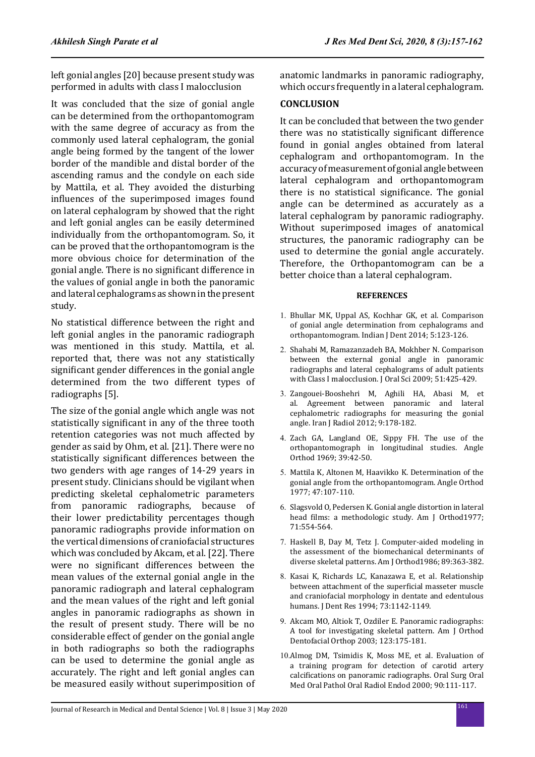left gonial angles [20] because present study was performed in adults with class I malocclusion

It was concluded that the size of gonial angle can be determined from the orthopantomogram with the same degree of accuracy as from the commonly used lateral cephalogram, the gonial angle being formed by the tangent of the lower border of the mandible and distal border of the ascending ramus and the condyle on each side by Mattila, et al. They avoided the disturbing influences of the superimposed images found on lateral cephalogram by showed that the right and left gonial angles can be easily determined individually from the orthopantomogram. So, it can be proved that the orthopantomogram is the more obvious choice for determination of the gonial angle. There is no significant difference in the values of gonial angle in both the panoramic and lateral cephalograms as shown in the present study.

No statistical difference between the right and left gonial angles in the panoramic radiograph was mentioned in this study. Mattila, et al. reported that, there was not any statistically significant gender differences in the gonial angle determined from the two different types of radiographs [5].

The size of the gonial angle which angle was not statistically significant in any of the three tooth retention categories was not much affected by gender as said by Ohm, et al. [21]. There were no statistically significant differences between the two genders with age ranges of 14-29 years in present study. Clinicians should be vigilant when predicting skeletal cephalometric parameters from panoramic radiographs, because of their lower predictability percentages though panoramic radiographs provide information on the vertical dimensions of craniofacial structures which was concluded by Akcam, et al. [22]. There were no significant differences between the mean values of the external gonial angle in the panoramic radiograph and lateral cephalogram and the mean values of the right and left gonial angles in panoramic radiographs as shown in the result of present study. There will be no considerable effect of gender on the gonial angle in both radiographs so both the radiographs can be used to determine the gonial angle as accurately. The right and left gonial angles can be measured easily without superimposition of anatomic landmarks in panoramic radiography, which occurs frequently in a lateral cephalogram.

## **CONCLUSION**

It can be concluded that between the two gender there was no statistically significant difference found in gonial angles obtained from lateral cephalogram and orthopantomogram. In the accuracy of measurement of gonial angle between lateral cephalogram and orthopantomogram there is no statistical significance. The gonial angle can be determined as accurately as a lateral cephalogram by panoramic radiography. Without superimposed images of anatomical structures, the panoramic radiography can be used to determine the gonial angle accurately. Therefore, the Orthopantomogram can be a better choice than a lateral cephalogram.

#### **REFERENCES**

- 1. Bhullar MK, Uppal AS, Kochhar GK, et al. Comparison of gonial angle determination from cephalograms and orthopantomogram. Indian J Dent 2014; 5:123-126.
- 2. Shahabi M, Ramazanzadeh BA, Mokhber N. Comparison between the external gonial angle in panoramic radiographs and lateral cephalograms of adult patients with Class I malocclusion. J Oral Sci 2009; 51:425-429.
- 3. Zangouei-Booshehri M, Aghili HA, Abasi M, et al. Agreement between panoramic and lateral cephalometric radiographs for measuring the gonial angle. Iran J Radiol 2012; 9:178-182.
- 4. Zach GA, Langland OE, Sippy FH. The use of the orthopantomograph in longitudinal studies. Angle Orthod 1969; 39:42-50.
- 5. Mattila K, Altonen M, Haavikko K. Determination of the gonial angle from the orthopantomogram. Angle Orthod 1977; 47:107-110.
- 6. Slagsvold O, Pedersen K. Gonial angle distortion in lateral head films: a methodologic study. Am J Orthod1977; 71:554-564.
- 7. Haskell B, Day M, Tetz J. Computer-aided modeling in the assessment of the biomechanical determinants of diverse skeletal patterns. Am J Orthod1986; 89:363-382.
- 8. Kasai K, Richards LC, Kanazawa E, et al. Relationship between attachment of the superficial masseter muscle and craniofacial morphology in dentate and edentulous humans. J Dent Res 1994; 73:1142-1149.
- 9. Akcam MO, Altiok T, Ozdiler E. Panoramic radiographs: A tool for investigating skeletal pattern. Am J Orthod Dentofacial Orthop 2003; 123:175-181.
- 10.Almog DM, Tsimidis K, Moss ME, et al. Evaluation of a training program for detection of carotid artery calcifications on panoramic radiographs. Oral Surg Oral Med Oral Pathol Oral Radiol Endod 2000; 90:111-117.